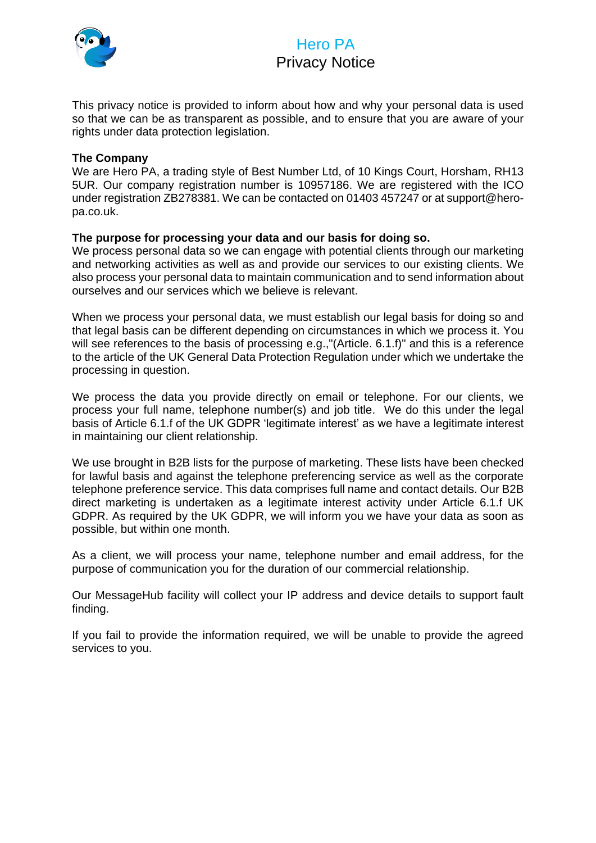

# Hero PA Privacy Notice

This privacy notice is provided to inform about how and why your personal data is used so that we can be as transparent as possible, and to ensure that you are aware of your rights under data protection legislation.

#### **The Company**

We are Hero PA, a trading style of Best Number Ltd, of 10 Kings Court, Horsham, RH13 5UR. Our company registration number is 10957186. We are registered with the ICO under registration ZB278381. We can be contacted on 01403 457247 or at support@heropa.co.uk.

#### **The purpose for processing your data and our basis for doing so.**

We process personal data so we can engage with potential clients through our marketing and networking activities as well as and provide our services to our existing clients. We also process your personal data to maintain communication and to send information about ourselves and our services which we believe is relevant.

When we process your personal data, we must establish our legal basis for doing so and that legal basis can be different depending on circumstances in which we process it. You will see references to the basis of processing e.g.,"(Article. 6.1.f)" and this is a reference to the article of the UK General Data Protection Regulation under which we undertake the processing in question.

We process the data you provide directly on email or telephone. For our clients, we process your full name, telephone number(s) and job title. We do this under the legal basis of Article 6.1.f of the UK GDPR 'legitimate interest' as we have a legitimate interest in maintaining our client relationship.

We use brought in B2B lists for the purpose of marketing. These lists have been checked for lawful basis and against the telephone preferencing service as well as the corporate telephone preference service. This data comprises full name and contact details. Our B2B direct marketing is undertaken as a legitimate interest activity under Article 6.1.f UK GDPR. As required by the UK GDPR, we will inform you we have your data as soon as possible, but within one month.

As a client, we will process your name, telephone number and email address, for the purpose of communication you for the duration of our commercial relationship.

Our MessageHub facility will collect your IP address and device details to support fault finding.

If you fail to provide the information required, we will be unable to provide the agreed services to you.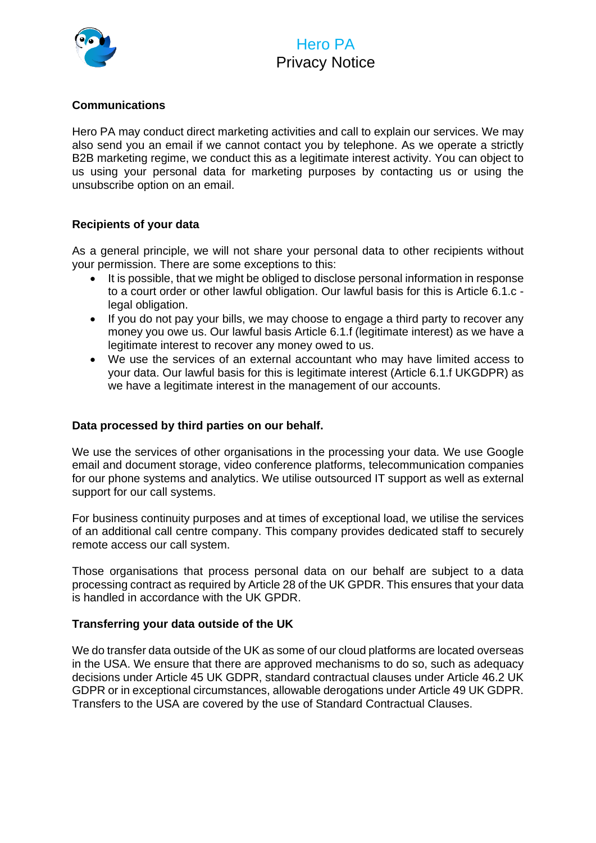

## Hero PA Privacy Notice

### **Communications**

Hero PA may conduct direct marketing activities and call to explain our services. We may also send you an email if we cannot contact you by telephone. As we operate a strictly B2B marketing regime, we conduct this as a legitimate interest activity. You can object to us using your personal data for marketing purposes by contacting us or using the unsubscribe option on an email.

#### **Recipients of your data**

As a general principle, we will not share your personal data to other recipients without your permission. There are some exceptions to this:

- It is possible, that we might be obliged to disclose personal information in response to a court order or other lawful obligation. Our lawful basis for this is Article 6.1.c legal obligation.
- If you do not pay your bills, we may choose to engage a third party to recover any money you owe us. Our lawful basis Article 6.1.f (legitimate interest) as we have a legitimate interest to recover any money owed to us.
- We use the services of an external accountant who may have limited access to your data. Our lawful basis for this is legitimate interest (Article 6.1.f UKGDPR) as we have a legitimate interest in the management of our accounts.

#### **Data processed by third parties on our behalf.**

We use the services of other organisations in the processing your data. We use Google email and document storage, video conference platforms, telecommunication companies for our phone systems and analytics. We utilise outsourced IT support as well as external support for our call systems.

For business continuity purposes and at times of exceptional load, we utilise the services of an additional call centre company. This company provides dedicated staff to securely remote access our call system.

Those organisations that process personal data on our behalf are subject to a data processing contract as required by Article 28 of the UK GPDR. This ensures that your data is handled in accordance with the UK GPDR.

#### **Transferring your data outside of the UK**

We do transfer data outside of the UK as some of our cloud platforms are located overseas in the USA. We ensure that there are approved mechanisms to do so, such as adequacy decisions under Article 45 UK GDPR, standard contractual clauses under Article 46.2 UK GDPR or in exceptional circumstances, allowable derogations under Article 49 UK GDPR. Transfers to the USA are covered by the use of Standard Contractual Clauses.